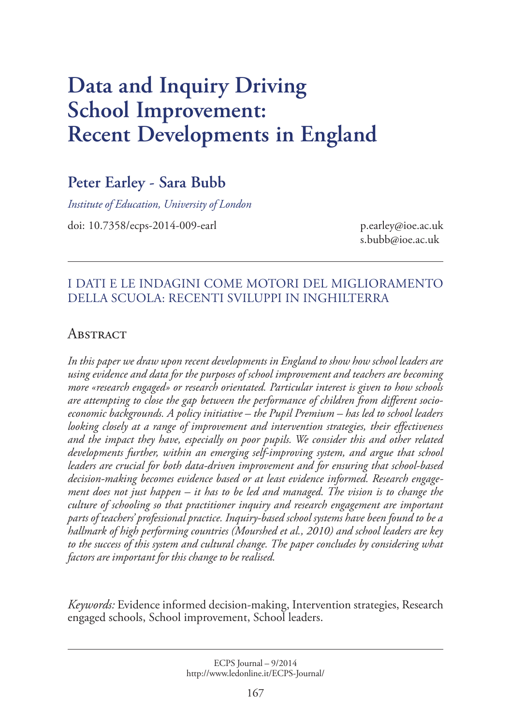# **Data and Inquiry Driving School Improvement: Recent Developments in England**

## **Peter Earley - Sara Bubb**

*Institute of Education, University of London*

doi: 10.7358/ecps-2014-009-earl p.earley@ioe.ac.uk

s.bubb@ioe.ac.uk

## I dati e le indagini come motori del miglioramento della scuola: recenti sviluppi in Inghilterra

### **ABSTRACT**

*In this paper we draw upon recent developments in England to show how school leaders are using evidence and data for the purposes of school improvement and teachers are becoming more «research engaged» or research orientated. Particular interest is given to how schools are attempting to close the gap between the performance of children from different socioeconomic backgrounds. A policy initiative – the Pupil Premium – has led to school leaders looking closely at a range of improvement and intervention strategies, their effectiveness and the impact they have, especially on poor pupils. We consider this and other related developments further, within an emerging self-improving system, and argue that school leaders are crucial for both data-driven improvement and for ensuring that school-based decision-making becomes evidence based or at least evidence informed. Research engagement does not just happen – it has to be led and managed. The vision is to change the culture of schooling so that practitioner inquiry and research engagement are important parts of teachers' professional practice. Inquiry-based school systems have been found to be a hallmark of high performing countries (Mourshed et al., 2010) and school leaders are key*  to the success of this system and cultural change. The paper concludes by considering what *factors are important for this change to be realised.* 

*Keywords:* Evidence informed decision-making, Intervention strategies, Research engaged schools, School improvement, School leaders.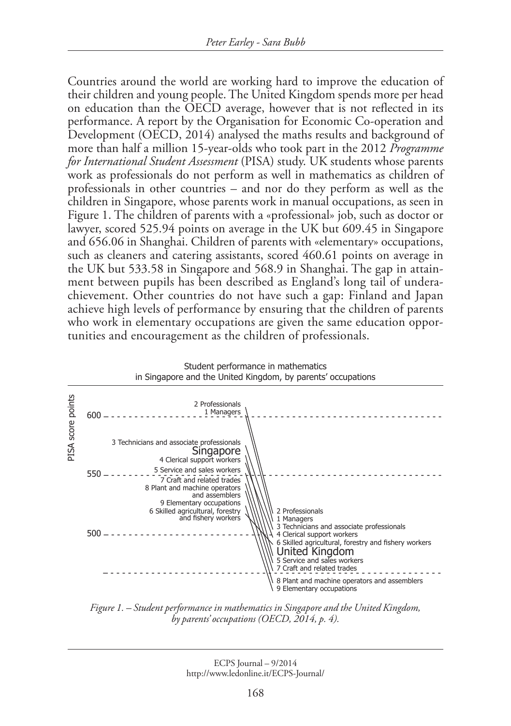Countries around the world are working hard to improve the education of their children and young people. The United Kingdom spends more per head on education than the OECD average, however that is not reflected in its performance. A report by the Organisation for Economic Co-operation and Development (OECD, 2014) analysed the maths results and background of more than half a million 15-year-olds who took part in the 2012 *Programme for International Student Assessment* (PISA) study. UK students whose parents work as professionals do not perform as well in mathematics as children of professionals in other countries – and nor do they perform as well as the children in Singapore, whose parents work in manual occupations, as seen in Figure 1. The children of parents with a «professional» job, such as doctor or lawyer, scored 525.94 points on average in the UK but 609.45 in Singapore and 656.06 in Shanghai. Children of parents with «elementary» occupations, such as cleaners and catering assistants, scored 460.61 points on average in the UK but 533.58 in Singapore and 568.9 in Shanghai. The gap in attainment between pupils has been described as England's long tail of underachievement. Other countries do not have such a gap: Finland and Japan achieve high levels of performance by ensuring that the children of parents who work in elementary occupations are given the same education opportunities and encouragement as the children of professionals.



*Figure 1. – Student performance in mathematics in Singapore and the United Kingdom, by parents' occupations (OECD, 2014, p. 4).*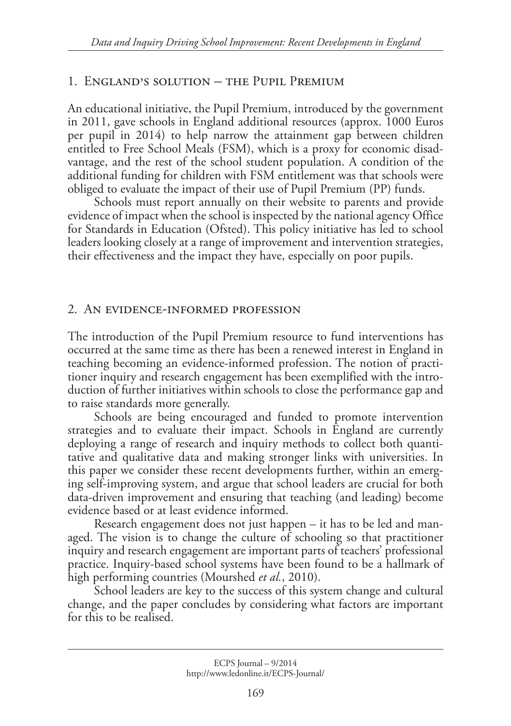#### 1. England's solution – the Pupil Premium

An educational initiative, the Pupil Premium, introduced by the government in 2011, gave schools in England additional resources (approx. 1000 Euros per pupil in 2014) to help narrow the attainment gap between children entitled to Free School Meals (FSM), which is a proxy for economic disadvantage, and the rest of the school student population. A condition of the additional funding for children with FSM entitlement was that schools were obliged to evaluate the impact of their use of Pupil Premium (PP) funds.

Schools must report annually on their website to parents and provide evidence of impact when the school is inspected by the national agency Office for Standards in Education (Ofsted). This policy initiative has led to school leaders looking closely at a range of improvement and intervention strategies, their effectiveness and the impact they have, especially on poor pupils.

#### 2. An evidence-informed profession

The introduction of the Pupil Premium resource to fund interventions has occurred at the same time as there has been a renewed interest in England in teaching becoming an evidence-informed profession. The notion of practitioner inquiry and research engagement has been exemplified with the introduction of further initiatives within schools to close the performance gap and to raise standards more generally.

Schools are being encouraged and funded to promote intervention strategies and to evaluate their impact. Schools in England are currently deploying a range of research and inquiry methods to collect both quantitative and qualitative data and making stronger links with universities. In this paper we consider these recent developments further, within an emerging self-improving system, and argue that school leaders are crucial for both data-driven improvement and ensuring that teaching (and leading) become evidence based or at least evidence informed.

Research engagement does not just happen – it has to be led and managed. The vision is to change the culture of schooling so that practitioner inquiry and research engagement are important parts of teachers' professional practice. Inquiry-based school systems have been found to be a hallmark of high performing countries (Mourshed *et al.*, 2010).

School leaders are key to the success of this system change and cultural change, and the paper concludes by considering what factors are important for this to be realised.

ECPS Journal – 9/2014 http://www.ledonline.it/ECPS-Journal/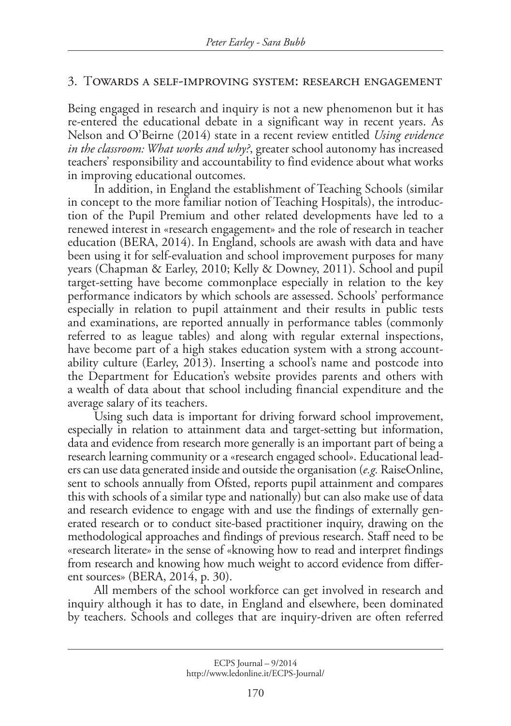#### 3. Towards a self-improving system: research engagement

Being engaged in research and inquiry is not a new phenomenon but it has re-entered the educational debate in a significant way in recent years. As Nelson and O'Beirne (2014) state in a recent review entitled *Using evidence in the classroom: What works and why?*, greater school autonomy has increased teachers' responsibility and accountability to find evidence about what works in improving educational outcomes.

In addition, in England the establishment of Teaching Schools (similar in concept to the more familiar notion of Teaching Hospitals), the introduction of the Pupil Premium and other related developments have led to a renewed interest in «research engagement» and the role of research in teacher education (BERA, 2014). In England, schools are awash with data and have been using it for self-evaluation and school improvement purposes for many years (Chapman & Earley, 2010; Kelly & Downey, 2011). School and pupil target-setting have become commonplace especially in relation to the key performance indicators by which schools are assessed. Schools' performance especially in relation to pupil attainment and their results in public tests and examinations, are reported annually in performance tables (commonly referred to as league tables) and along with regular external inspections, have become part of a high stakes education system with a strong accountability culture (Earley, 2013). Inserting a school's name and postcode into the Department for Education's website provides parents and others with a wealth of data about that school including financial expenditure and the average salary of its teachers.

Using such data is important for driving forward school improvement, especially in relation to attainment data and target-setting but information, data and evidence from research more generally is an important part of being a research learning community or a «research engaged school». Educational leaders can use data generated inside and outside the organisation (*e.g.* RaiseOnline, sent to schools annually from Ofsted, reports pupil attainment and compares this with schools of a similar type and nationally) but can also make use of data and research evidence to engage with and use the findings of externally generated research or to conduct site-based practitioner inquiry, drawing on the methodological approaches and findings of previous research. Staff need to be «research literate» in the sense of «knowing how to read and interpret findings from research and knowing how much weight to accord evidence from different sources» (BERA, 2014, p. 30).

All members of the school workforce can get involved in research and inquiry although it has to date, in England and elsewhere, been dominated by teachers. Schools and colleges that are inquiry-driven are often referred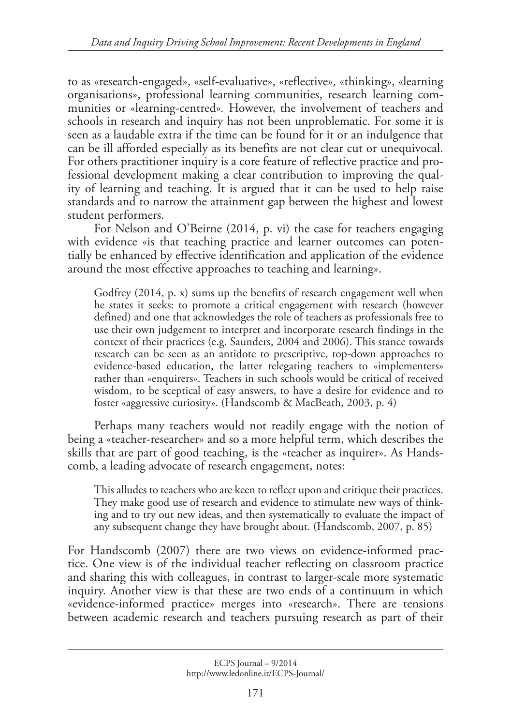to as «research-engaged», «self-evaluative», «reflective», «thinking», «learning organisations», professional learning communities, research learning communities or «learning-centred»*.* However, the involvement of teachers and schools in research and inquiry has not been unproblematic. For some it is seen as a laudable extra if the time can be found for it or an indulgence that can be ill afforded especially as its benefits are not clear cut or unequivocal. For others practitioner inquiry is a core feature of reflective practice and professional development making a clear contribution to improving the quality of learning and teaching. It is argued that it can be used to help raise standards and to narrow the attainment gap between the highest and lowest student performers.

For Nelson and O'Beirne (2014, p. vi) the case for teachers engaging with evidence «is that teaching practice and learner outcomes can potentially be enhanced by effective identification and application of the evidence around the most effective approaches to teaching and learning».

Godfrey (2014, p. x) sums up the benefits of research engagement well when he states it seeks: to promote a critical engagement with research (however defined) and one that acknowledges the role of teachers as professionals free to use their own judgement to interpret and incorporate research findings in the context of their practices (e.g. Saunders, 2004 and 2006). This stance towards research can be seen as an antidote to prescriptive, top-down approaches to evidence-based education, the latter relegating teachers to «implementers» rather than «enquirers». Teachers in such schools would be critical of received wisdom, to be sceptical of easy answers, to have a desire for evidence and to foster «aggressive curiosity». (Handscomb & MacBeath, 2003, p. 4)

Perhaps many teachers would not readily engage with the notion of being a «teacher-researcher» and so a more helpful term, which describes the skills that are part of good teaching, is the «teacher as inquirer». As Handscomb, a leading advocate of research engagement, notes:

This alludes to teachers who are keen to reflect upon and critique their practices. They make good use of research and evidence to stimulate new ways of thinking and to try out new ideas, and then systematically to evaluate the impact of any subsequent change they have brought about. (Handscomb, 2007, p. 85)

For Handscomb (2007) there are two views on evidence-informed practice. One view is of the individual teacher reflecting on classroom practice and sharing this with colleagues, in contrast to larger-scale more systematic inquiry. Another view is that these are two ends of a continuum in which «evidence-informed practice» merges into «research». There are tensions between academic research and teachers pursuing research as part of their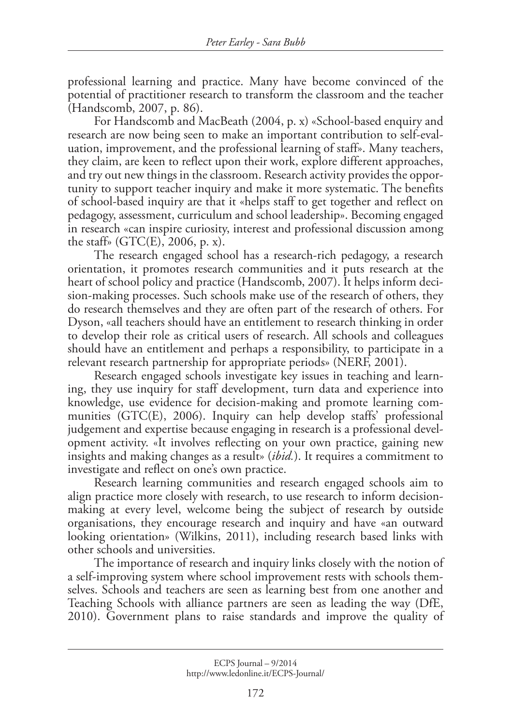professional learning and practice. Many have become convinced of the potential of practitioner research to transform the classroom and the teacher (Handscomb, 2007, p. 86).

For Handscomb and MacBeath (2004, p. x) «School-based enquiry and research are now being seen to make an important contribution to self-evaluation, improvement, and the professional learning of staff». Many teachers, they claim, are keen to reflect upon their work, explore different approaches, and try out new things in the classroom. Research activity provides the opportunity to support teacher inquiry and make it more systematic. The benefits of school-based inquiry are that it «helps staff to get together and reflect on pedagogy, assessment, curriculum and school leadership». Becoming engaged in research «can inspire curiosity, interest and professional discussion among the staff» (GTC $(E)$ , 2006, p. x).

The research engaged school has a research-rich pedagogy, a research orientation, it promotes research communities and it puts research at the heart of school policy and practice (Handscomb, 2007). It helps inform decision-making processes. Such schools make use of the research of others, they do research themselves and they are often part of the research of others. For Dyson, «all teachers should have an entitlement to research thinking in order to develop their role as critical users of research. All schools and colleagues should have an entitlement and perhaps a responsibility, to participate in a relevant research partnership for appropriate periods» (NERF, 2001).

Research engaged schools investigate key issues in teaching and learning, they use inquiry for staff development, turn data and experience into knowledge, use evidence for decision-making and promote learning communities (GTC(E), 2006). Inquiry can help develop staffs' professional judgement and expertise because engaging in research is a professional development activity. «It involves reflecting on your own practice, gaining new insights and making changes as a result» (*ibid.*). It requires a commitment to investigate and reflect on one's own practice.

Research learning communities and research engaged schools aim to align practice more closely with research, to use research to inform decisionmaking at every level, welcome being the subject of research by outside organisations, they encourage research and inquiry and have «an outward looking orientation» (Wilkins, 2011), including research based links with other schools and universities.

The importance of research and inquiry links closely with the notion of a self-improving system where school improvement rests with schools themselves. Schools and teachers are seen as learning best from one another and Teaching Schools with alliance partners are seen as leading the way (DfE, 2010). Government plans to raise standards and improve the quality of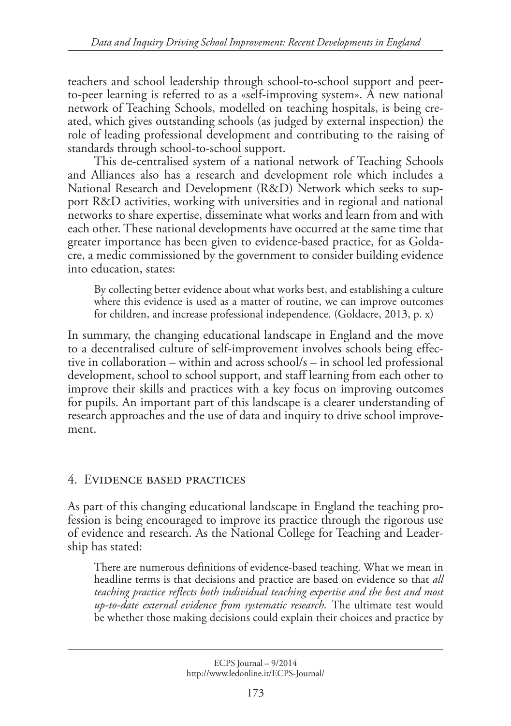teachers and school leadership through school-to-school support and peerto-peer learning is referred to as a «self-improving system». A new national network of Teaching Schools, modelled on teaching hospitals, is being created, which gives outstanding schools (as judged by external inspection) the role of leading professional development and contributing to the raising of standards through school-to-school support.

This de-centralised system of a national network of Teaching Schools and Alliances also has a research and development role which includes a National Research and Development (R&D) Network which seeks to support R&D activities, working with universities and in regional and national networks to share expertise, disseminate what works and learn from and with each other. These national developments have occurred at the same time that greater importance has been given to evidence-based practice, for as Goldacre, a medic commissioned by the government to consider building evidence into education, states:

By collecting better evidence about what works best, and establishing a culture where this evidence is used as a matter of routine, we can improve outcomes for children, and increase professional independence. (Goldacre, 2013, p. x)

In summary, the changing educational landscape in England and the move to a decentralised culture of self-improvement involves schools being effective in collaboration – within and across school/s – in school led professional development, school to school support, and staff learning from each other to improve their skills and practices with a key focus on improving outcomes for pupils. An important part of this landscape is a clearer understanding of research approaches and the use of data and inquiry to drive school improvement.

## 4. Evidence based practices

As part of this changing educational landscape in England the teaching profession is being encouraged to improve its practice through the rigorous use of evidence and research. As the National College for Teaching and Leadership has stated:

There are numerous definitions of evidence-based teaching. What we mean in headline terms is that decisions and practice are based on evidence so that *all teaching practice reflects both individual teaching expertise and the best and most up-to-date external evidence from systematic research.* The ultimate test would be whether those making decisions could explain their choices and practice by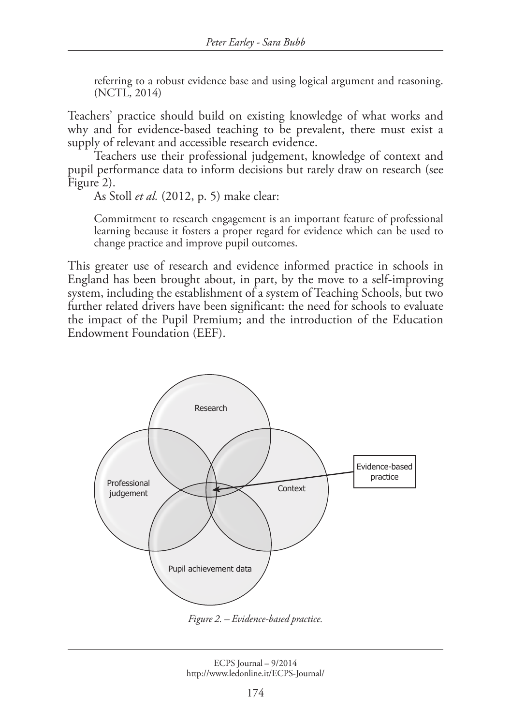referring to a robust evidence base and using logical argument and reasoning. (NCTL, 2014)

Teachers' practice should build on existing knowledge of what works and why and for evidence-based teaching to be prevalent, there must exist a supply of relevant and accessible research evidence.

Teachers use their professional judgement, knowledge of context and pupil performance data to inform decisions but rarely draw on research (see Figure 2).

As Stoll *et al.* (2012, p. 5) make clear:

Commitment to research engagement is an important feature of professional learning because it fosters a proper regard for evidence which can be used to change practice and improve pupil outcomes.

This greater use of research and evidence informed practice in schools in England has been brought about, in part, by the move to a self-improving system, including the establishment of a system of Teaching Schools, but two further related drivers have been significant: the need for schools to evaluate the impact of the Pupil Premium; and the introduction of the Education Endowment Foundation (EEF).



*Figure 2. – Evidence-based practice.*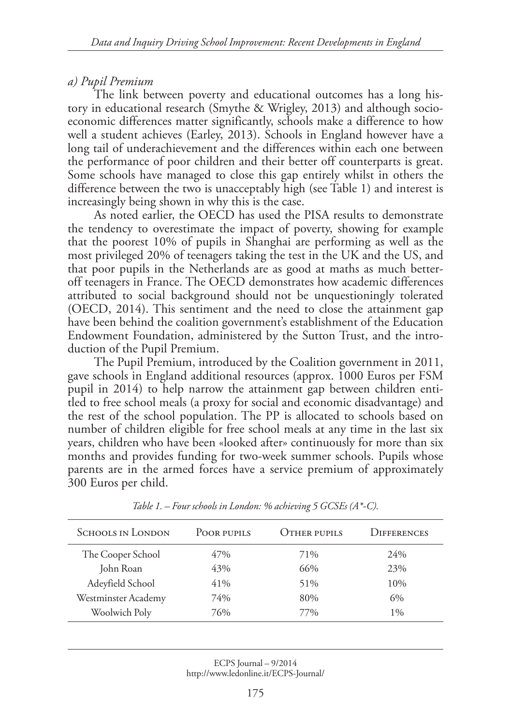### *a) Pupil Premium*

The link between poverty and educational outcomes has a long history in educational research (Smythe & Wrigley, 2013) and although socioeconomic differences matter significantly, schools make a difference to how well a student achieves (Earley, 2013). Schools in England however have a long tail of underachievement and the differences within each one between the performance of poor children and their better off counterparts is great. Some schools have managed to close this gap entirely whilst in others the difference between the two is unacceptably high (see Table 1) and interest is increasingly being shown in why this is the case.

As noted earlier, the OECD has used the PISA results to demonstrate the tendency to overestimate the impact of poverty, showing for example that the poorest 10% of pupils in Shanghai are performing as well as the most privileged 20% of teenagers taking the test in the UK and the US, and that poor pupils in the Netherlands are as good at maths as much betteroff teenagers in France. The OECD demonstrates how academic differences attributed to social background should not be unquestioningly tolerated (OECD, 2014). This sentiment and the need to close the attainment gap have been behind the coalition government's establishment of the Education Endowment Foundation, administered by the Sutton Trust, and the introduction of the Pupil Premium.

The Pupil Premium, introduced by the Coalition government in 2011, gave schools in England additional resources (approx. 1000 Euros per FSM pupil in 2014) to help narrow the attainment gap between children entitled to free school meals (a proxy for social and economic disadvantage) and the rest of the school population. The PP is allocated to schools based on number of children eligible for free school meals at any time in the last six years, children who have been «looked after» continuously for more than six months and provides funding for two-week summer schools. Pupils whose parents are in the armed forces have a service premium of approximately 300 Euros per child.

| <b>SCHOOLS IN LONDON</b> | POOR PUPILS | OTHER PUPILS | <b>DIFFERENCES</b> |
|--------------------------|-------------|--------------|--------------------|
| The Cooper School        | 47%         | 71%          | 24%                |
| John Roan                | 43%         | 66%          | 23%                |
| Adeyfield School         | 41%         | 51%          | 10%                |
| Westminster Academy      | 74%         | 80%          | 6%                 |
| Woolwich Poly            | 76%         | 77%          | $1\%$              |

*Table 1. – Four schools in London: % achieving 5 GCSEs (A\*-C).*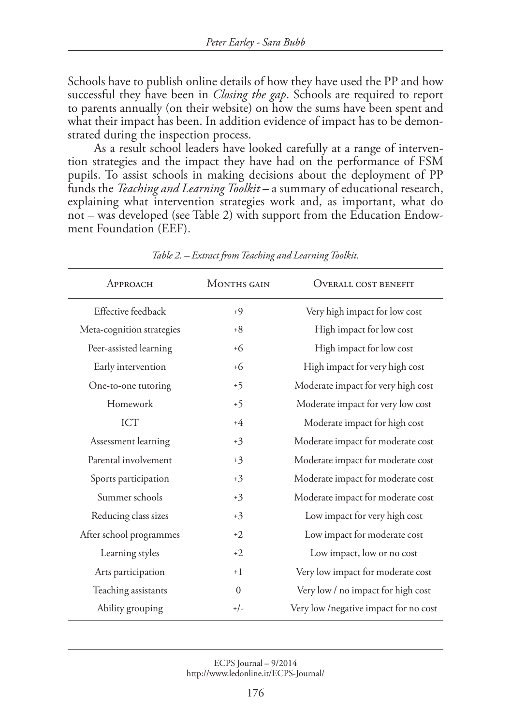Schools have to publish online details of how they have used the PP and how successful they have been in *Closing the gap*. Schools are required to report to parents annually (on their website) on how the sums have been spent and what their impact has been. In addition evidence of impact has to be demonstrated during the inspection process.

As a result school leaders have looked carefully at a range of intervention strategies and the impact they have had on the performance of FSM pupils. To assist schools in making decisions about the deployment of PP funds the *Teaching and Learning Toolkit* – a summary of educational research, explaining what intervention strategies work and, as important, what do not – was developed (see Table 2) with support from the Education Endowment Foundation (EEF).

| APPROACH                  | <b>MONTHS GAIN</b> | <b>OVERALL COST BENEFIT</b>            |
|---------------------------|--------------------|----------------------------------------|
| Effective feedback        | $+9$               | Very high impact for low cost          |
| Meta-cognition strategies | $+8$               | High impact for low cost               |
| Peer-assisted learning    | $+6$               | High impact for low cost               |
| Early intervention        | $+6$               | High impact for very high cost         |
| One-to-one tutoring       | $+5$               | Moderate impact for very high cost     |
| Homework                  | $+5$               | Moderate impact for very low cost      |
| <b>ICT</b>                | $+4$               | Moderate impact for high cost          |
| Assessment learning       | $+3$               | Moderate impact for moderate cost      |
| Parental involvement      | $+3$               | Moderate impact for moderate cost      |
| Sports participation      | $+3$               | Moderate impact for moderate cost      |
| Summer schools            | $+3$               | Moderate impact for moderate cost      |
| Reducing class sizes      | $+3$               | Low impact for very high cost          |
| After school programmes   | $+2$               | Low impact for moderate cost           |
| Learning styles           | $+2$               | Low impact, low or no cost             |
| Arts participation        | $+1$               | Very low impact for moderate cost      |
| Teaching assistants       | $\Omega$           | Very low / no impact for high cost     |
| Ability grouping          | $+/-$              | Very low / negative impact for no cost |

*Table 2. – Extract from Teaching and Learning Toolkit.*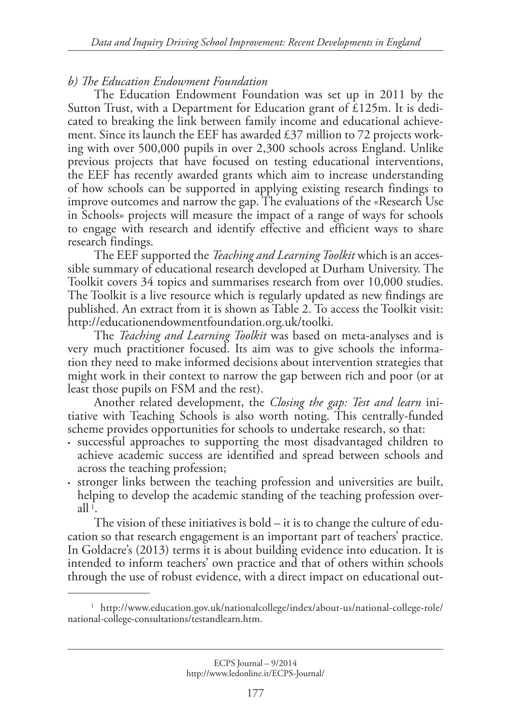#### *b) The Education Endowment Foundation*

The Education Endowment Foundation was set up in 2011 by the Sutton Trust, with a Department for Education grant of £125m. It is dedicated to breaking the link between family income and educational achievement. Since its launch the EEF has awarded  $\text{\pounds}37$  million to 72 projects working with over 500,000 pupils in over 2,300 schools across England. Unlike previous projects that have focused on testing educational interventions, the EEF has recently awarded grants which aim to increase understanding of how schools can be supported in applying existing research findings to improve outcomes and narrow the gap. The evaluations of the «Research Use in Schools» projects will measure the impact of a range of ways for schools to engage with research and identify effective and efficient ways to share research findings.

The EEF supported the *Teaching and Learning Toolkit* which is an accessible summary of educational research developed at Durham University. The Toolkit covers 34 topics and summarises research from over 10,000 studies. The Toolkit is a live resource which is regularly updated as new findings are published. An extract from it is shown as Table 2. To access the Toolkit visit: http://educationendowmentfoundation.org.uk/toolki.

The *Teaching and Learning Toolkit* was based on meta-analyses and is very much practitioner focused. Its aim was to give schools the information they need to make informed decisions about intervention strategies that might work in their context to narrow the gap between rich and poor (or at least those pupils on FSM and the rest).

Another related development, the *Closing the gap: Test and learn* initiative with Teaching Schools is also worth noting. This centrally-funded scheme provides opportunities for schools to undertake research, so that:

- successful approaches to supporting the most disadvantaged children to achieve academic success are identified and spread between schools and across the teaching profession;
- stronger links between the teaching profession and universities are built, helping to develop the academic standing of the teaching profession overall  $1$ .

The vision of these initiatives is bold – it is to change the culture of education so that research engagement is an important part of teachers' practice. In Goldacre's (2013) terms it is about building evidence into education. It is intended to inform teachers' own practice and that of others within schools through the use of robust evidence, with a direct impact on educational out-

<sup>&</sup>lt;sup>1</sup> http://www.education.gov.uk/nationalcollege/index/about-us/national-college-role/ national-college-consultations/testandlearn.htm.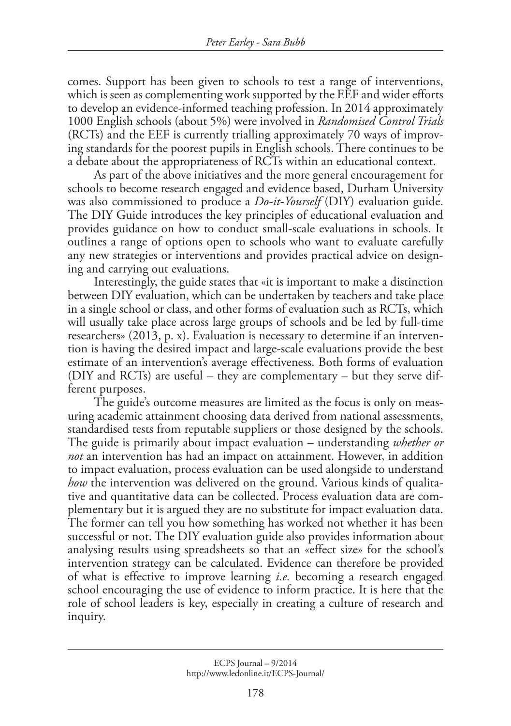comes. Support has been given to schools to test a range of interventions, which is seen as complementing work supported by the EEF and wider efforts to develop an evidence-informed teaching profession. In 2014 approximately 1000 English schools (about 5%) were involved in *Randomised Control Trials* (RCTs) and the EEF is currently trialling approximately 70 ways of improving standards for the poorest pupils in English schools. There continues to be a debate about the appropriateness of RCTs within an educational context.

As part of the above initiatives and the more general encouragement for schools to become research engaged and evidence based, Durham University was also commissioned to produce a *Do-it-Yourself* (DIY) evaluation guide. The DIY Guide introduces the key principles of educational evaluation and provides guidance on how to conduct small-scale evaluations in schools. It outlines a range of options open to schools who want to evaluate carefully any new strategies or interventions and provides practical advice on designing and carrying out evaluations.

Interestingly, the guide states that «it is important to make a distinction between DIY evaluation, which can be undertaken by teachers and take place in a single school or class, and other forms of evaluation such as RCTs, which will usually take place across large groups of schools and be led by full-time researchers» (2013, p. x). Evaluation is necessary to determine if an intervention is having the desired impact and large-scale evaluations provide the best estimate of an intervention's average effectiveness. Both forms of evaluation (DIY and RCTs) are useful – they are complementary – but they serve different purposes.

The guide's outcome measures are limited as the focus is only on measuring academic attainment choosing data derived from national assessments, standardised tests from reputable suppliers or those designed by the schools. The guide is primarily about impact evaluation – understanding *whether or not* an intervention has had an impact on attainment. However, in addition to impact evaluation, process evaluation can be used alongside to understand *how* the intervention was delivered on the ground. Various kinds of qualitative and quantitative data can be collected. Process evaluation data are complementary but it is argued they are no substitute for impact evaluation data. The former can tell you how something has worked not whether it has been successful or not. The DIY evaluation guide also provides information about analysing results using spreadsheets so that an «effect size» for the school's intervention strategy can be calculated. Evidence can therefore be provided of what is effective to improve learning *i.e.* becoming a research engaged school encouraging the use of evidence to inform practice. It is here that the role of school leaders is key, especially in creating a culture of research and inquiry.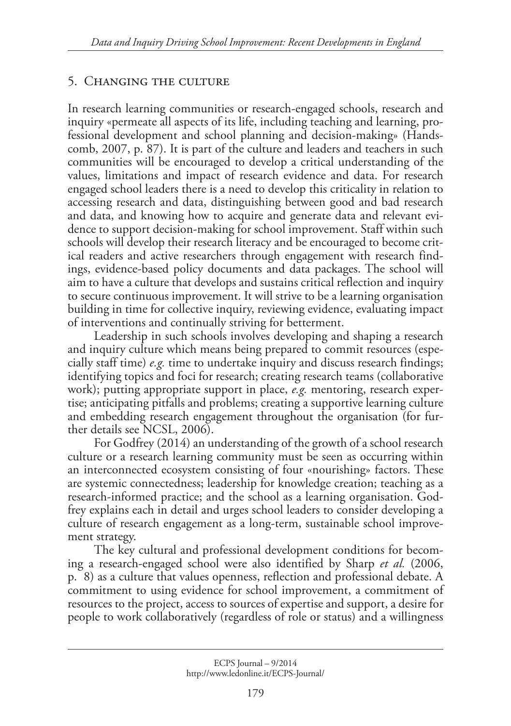## 5. Changing the culture

In research learning communities or research-engaged schools, research and inquiry «permeate all aspects of its life, including teaching and learning, professional development and school planning and decision-making» (Handscomb, 2007, p. 87). It is part of the culture and leaders and teachers in such communities will be encouraged to develop a critical understanding of the values, limitations and impact of research evidence and data. For research engaged school leaders there is a need to develop this criticality in relation to accessing research and data, distinguishing between good and bad research and data, and knowing how to acquire and generate data and relevant evidence to support decision-making for school improvement. Staff within such schools will develop their research literacy and be encouraged to become critical readers and active researchers through engagement with research findings, evidence-based policy documents and data packages. The school will aim to have a culture that develops and sustains critical reflection and inquiry to secure continuous improvement. It will strive to be a learning organisation building in time for collective inquiry, reviewing evidence, evaluating impact of interventions and continually striving for betterment.

Leadership in such schools involves developing and shaping a research and inquiry culture which means being prepared to commit resources (especially staff time) *e.g.* time to undertake inquiry and discuss research findings; identifying topics and foci for research; creating research teams (collaborative work); putting appropriate support in place, *e.g.* mentoring, research expertise; anticipating pitfalls and problems; creating a supportive learning culture and embedding research engagement throughout the organisation (for further details see NCSL, 2006).

For Godfrey (2014) an understanding of the growth of a school research culture or a research learning community must be seen as occurring within an interconnected ecosystem consisting of four «nourishing» factors. These are systemic connectedness; leadership for knowledge creation; teaching as a research-informed practice; and the school as a learning organisation. Godfrey explains each in detail and urges school leaders to consider developing a culture of research engagement as a long-term, sustainable school improvement strategy.

The key cultural and professional development conditions for becoming a research-engaged school were also identified by Sharp *et al.* (2006, p. 8) as a culture that values openness, reflection and professional debate. A commitment to using evidence for school improvement, a commitment of resources to the project, access to sources of expertise and support, a desire for people to work collaboratively (regardless of role or status) and a willingness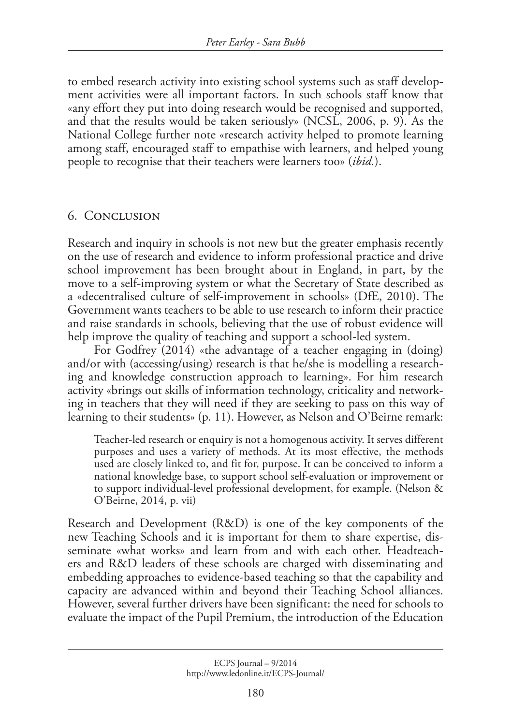to embed research activity into existing school systems such as staff development activities were all important factors. In such schools staff know that «any effort they put into doing research would be recognised and supported, and that the results would be taken seriously» (NCSL, 2006, p. 9). As the National College further note «research activity helped to promote learning among staff, encouraged staff to empathise with learners, and helped young people to recognise that their teachers were learners too» (*ibid.*).

#### 6. Conclusion

Research and inquiry in schools is not new but the greater emphasis recently on the use of research and evidence to inform professional practice and drive school improvement has been brought about in England, in part, by the move to a self-improving system or what the Secretary of State described as a «decentralised culture of self-improvement in schools» (DfE, 2010). The Government wants teachers to be able to use research to inform their practice and raise standards in schools, believing that the use of robust evidence will help improve the quality of teaching and support a school-led system.

For Godfrey (2014) «the advantage of a teacher engaging in (doing) and/or with (accessing/using) research is that he/she is modelling a researching and knowledge construction approach to learning». For him research activity «brings out skills of information technology, criticality and networking in teachers that they will need if they are seeking to pass on this way of learning to their students» (p. 11). However, as Nelson and O'Beirne remark:

Teacher-led research or enquiry is not a homogenous activity. It serves different purposes and uses a variety of methods. At its most effective, the methods used are closely linked to, and fit for, purpose. It can be conceived to inform a national knowledge base, to support school self-evaluation or improvement or to support individual-level professional development, for example. (Nelson & O'Beirne, 2014, p. vii)

Research and Development (R&D) is one of the key components of the new Teaching Schools and it is important for them to share expertise, disseminate «what works» and learn from and with each other. Headteachers and R&D leaders of these schools are charged with disseminating and embedding approaches to evidence-based teaching so that the capability and capacity are advanced within and beyond their Teaching School alliances. However, several further drivers have been significant: the need for schools to evaluate the impact of the Pupil Premium, the introduction of the Education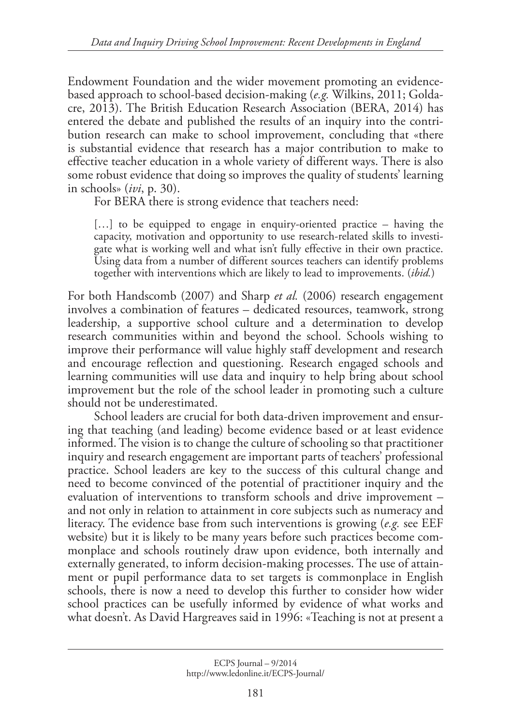Endowment Foundation and the wider movement promoting an evidencebased approach to school-based decision-making (*e.g.* Wilkins, 2011; Goldacre, 2013). The British Education Research Association (BERA, 2014) has entered the debate and published the results of an inquiry into the contribution research can make to school improvement, concluding that «there is substantial evidence that research has a major contribution to make to effective teacher education in a whole variety of different ways. There is also some robust evidence that doing so improves the quality of students' learning in schools» (*ivi*, p. 30).

For BERA there is strong evidence that teachers need:

[...] to be equipped to engage in enquiry-oriented practice – having the capacity, motivation and opportunity to use research-related skills to investigate what is working well and what isn't fully effective in their own practice. Using data from a number of different sources teachers can identify problems together with interventions which are likely to lead to improvements. (*ibid.*)

For both Handscomb (2007) and Sharp *et al.* (2006) research engagement involves a combination of features – dedicated resources, teamwork, strong leadership, a supportive school culture and a determination to develop research communities within and beyond the school. Schools wishing to improve their performance will value highly staff development and research and encourage reflection and questioning. Research engaged schools and learning communities will use data and inquiry to help bring about school improvement but the role of the school leader in promoting such a culture should not be underestimated.

School leaders are crucial for both data-driven improvement and ensuring that teaching (and leading) become evidence based or at least evidence informed. The vision is to change the culture of schooling so that practitioner inquiry and research engagement are important parts of teachers' professional practice. School leaders are key to the success of this cultural change and need to become convinced of the potential of practitioner inquiry and the evaluation of interventions to transform schools and drive improvement – and not only in relation to attainment in core subjects such as numeracy and literacy. The evidence base from such interventions is growing (*e.g.* see EEF website) but it is likely to be many years before such practices become commonplace and schools routinely draw upon evidence, both internally and externally generated, to inform decision-making processes. The use of attainment or pupil performance data to set targets is commonplace in English schools, there is now a need to develop this further to consider how wider school practices can be usefully informed by evidence of what works and what doesn't. As David Hargreaves said in 1996: «Teaching is not at present a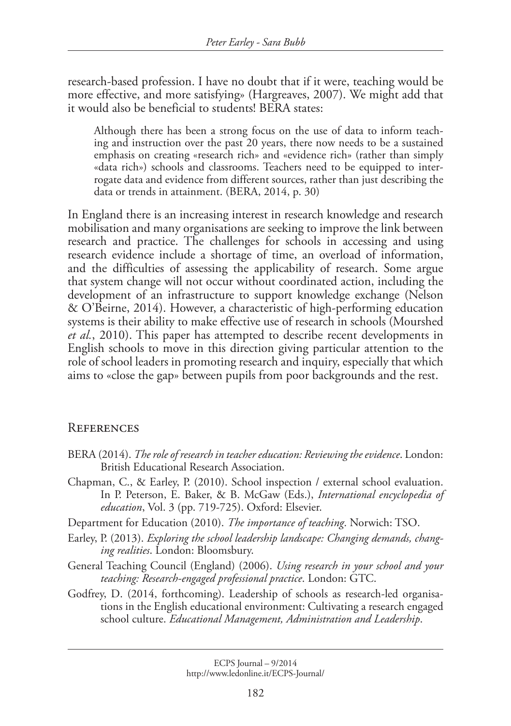research-based profession. I have no doubt that if it were, teaching would be more effective, and more satisfying» (Hargreaves, 2007). We might add that it would also be beneficial to students! BERA states:

Although there has been a strong focus on the use of data to inform teaching and instruction over the past 20 years, there now needs to be a sustained emphasis on creating «research rich» and «evidence rich» (rather than simply «data rich») schools and classrooms. Teachers need to be equipped to interrogate data and evidence from different sources, rather than just describing the data or trends in attainment. (BERA, 2014, p. 30)

In England there is an increasing interest in research knowledge and research mobilisation and many organisations are seeking to improve the link between research and practice. The challenges for schools in accessing and using research evidence include a shortage of time, an overload of information, and the difficulties of assessing the applicability of research. Some argue that system change will not occur without coordinated action, including the development of an infrastructure to support knowledge exchange (Nelson & O'Beirne, 2014). However, a characteristic of high-performing education systems is their ability to make effective use of research in schools (Mourshed *et al.*, 2010). This paper has attempted to describe recent developments in English schools to move in this direction giving particular attention to the role of school leaders in promoting research and inquiry, especially that which aims to «close the gap» between pupils from poor backgrounds and the rest.

#### **REFERENCES**

- BERA (2014). *The role of research in teacher education: Reviewing the evidence*. London: British Educational Research Association.
- Chapman, C., & Earley, P. (2010). School inspection / external school evaluation. In P. Peterson, E. Baker, & B. McGaw (Eds.), *International encyclopedia of education*, Vol. 3 (pp. 719-725). Oxford: Elsevier.
- Department for Education (2010). *The importance of teaching*. Norwich: TSO.
- Earley, P. (2013). *Exploring the school leadership landscape: Changing demands, changing realities*. London: Bloomsbury.
- General Teaching Council (England) (2006). *Using research in your school and your teaching: Research-engaged professional practice*. London: GTC.
- Godfrey, D. (2014, forthcoming). Leadership of schools as research-led organisations in the English educational environment: Cultivating a research engaged school culture. *Educational Management, Administration and Leadership*.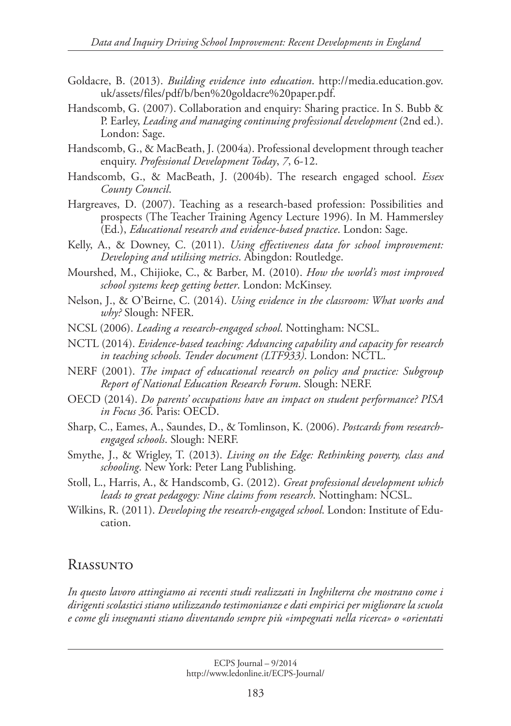- Goldacre, B. (2013). *Building evidence into education*. http://media.education.gov. uk/assets/files/pdf/b/ben%20goldacre%20paper.pdf.
- Handscomb, G. (2007). Collaboration and enquiry: Sharing practice. In S. Bubb & P. Earley, *Leading and managing continuing professional development* (2nd ed.). London: Sage.
- Handscomb, G., & MacBeath, J. (2004a). Professional development through teacher enquiry. *Professional Development Today*, *7*, 6-12.
- Handscomb, G., & MacBeath, J. (2004b). The research engaged school. *Essex County Council*.
- Hargreaves, D. (2007). Teaching as a research-based profession: Possibilities and prospects (The Teacher Training Agency Lecture 1996). In M. Hammersley (Ed.), *Educational research and evidence-based practice*. London: Sage.
- Kelly, A., & Downey, C. (2011). *Using effectiveness data for school improvement: Developing and utilising metrics*. Abingdon: Routledge.
- Mourshed, M., Chijioke, C., & Barber, M. (2010). *How the world's most improved school systems keep getting better*. London: McKinsey.
- Nelson, J., & O'Beirne, C. (2014). *Using evidence in the classroom: What works and why?* Slough: NFER.
- NCSL (2006). *Leading a research-engaged school*. Nottingham: NCSL.
- NCTL (2014). *Evidence-based teaching: Advancing capability and capacity for research in teaching schools. Tender document (LTF933)*. London: NCTL.
- NERF (2001). *The impact of educational research on policy and practice: Subgroup Report of National Education Research Forum*. Slough: NERF.
- OECD (2014). *Do parents' occupations have an impact on student performance? PISA in Focus 36*. Paris: OECD.
- Sharp, C., Eames, A., Saundes, D., & Tomlinson, K. (2006). *Postcards from researchengaged schools*. Slough: NERF.
- Smythe, J., & Wrigley, T. (2013). *Living on the Edge: Rethinking poverty, class and schooling*. New York: Peter Lang Publishing.
- Stoll, L., Harris, A., & Handscomb, G. (2012). *Great professional development which leads to great pedagogy: Nine claims from research*. Nottingham: NCSL.
- Wilkins, R. (2011). *Developing the research-engaged school*. London: Institute of Education.

## Riassunto

*In questo lavoro attingiamo ai recenti studi realizzati in Inghilterra che mostrano come i dirigenti scolastici stiano utilizzando testimonianze e dati empirici per migliorare la scuola e come gli insegnanti stiano diventando sempre più «impegnati nella ricerca» o «orientati*